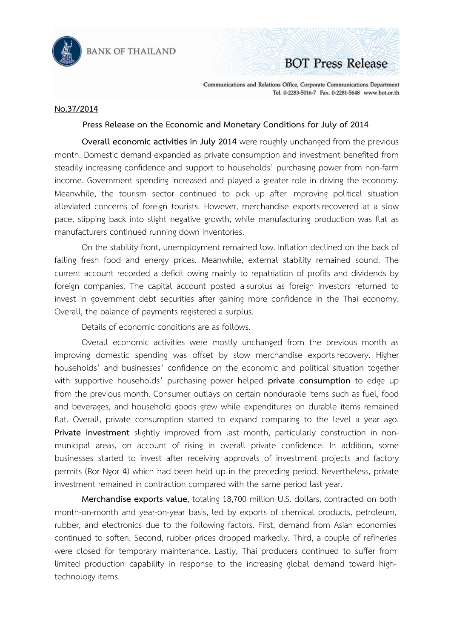

**BANK OF THAILAND** 

## **BOT Press Release**

Communications and Relations Office, Corporate Communications Department Tel. 0-2283-5016-7 Fax. 0-2281-5648 www.bot.or.th

## **No.37/2014**

## **Press Release on the Economic and Monetary Conditions for July of 2014**

 **Overall economic activities in July 2014** were roughly unchanged from the previous month. Domestic demand expanded as private consumption and investment benefited from steadily increasing confidence and support to households' purchasing power from non-farm income. Government spending increased and played a greater role in driving the economy. Meanwhile, the tourism sector continued to pick up after improving political situation alleviated concerns of foreign tourists. However, merchandise exports recovered at a slow pace, slipping back into slight negative growth, while manufacturing production was flat as manufacturers continued running down inventories.

On the stability front, unemployment remained low. Inflation declined on the back of falling fresh food and energy prices. Meanwhile, external stability remained sound. The current account recorded a deficit owing mainly to repatriation of profits and dividends by foreign companies. The capital account posted asurplus as foreign investors returned to invest in government debt securities after gaining more confidence in the Thai economy. Overall, the balance of payments registered a surplus.

Details of economic conditions are as follows.

 Overall economic activities were mostly unchanged from the previous month as improving domestic spending was offset by slow merchandise exports recovery. Higher households' and businesses' confidence on the economic and political situation together with supportive households' purchasing power helped **private consumption** to edge up from the previous month. Consumer outlays on certain nondurable items such as fuel, food and beverages, and household goods grew while expenditures on durable items remained flat. Overall, private consumption started to expand comparing to the level a year ago. **Private investment** slightly improved from last month, particularly construction in nonmunicipal areas, on account of rising in overall private confidence. In addition, some businesses started to invest after receiving approvals of investment projects and factory permits (Ror Ngor 4) which had been held up in the preceding period. Nevertheless, private investment remained in contraction compared with the same period last year.

**Merchandise exports value**, totaling 18,700 million U.S. dollars, contracted on both month-on-month and year-on-year basis, led by exports of chemical products, petroleum, rubber, and electronics due to the following factors. First, demand from Asian economies continued to soften. Second, rubber prices dropped markedly. Third, a couple of refineries were closed for temporary maintenance. Lastly, Thai producers continued to suffer from limited production capability in response to the increasing global demand toward hightechnology items.